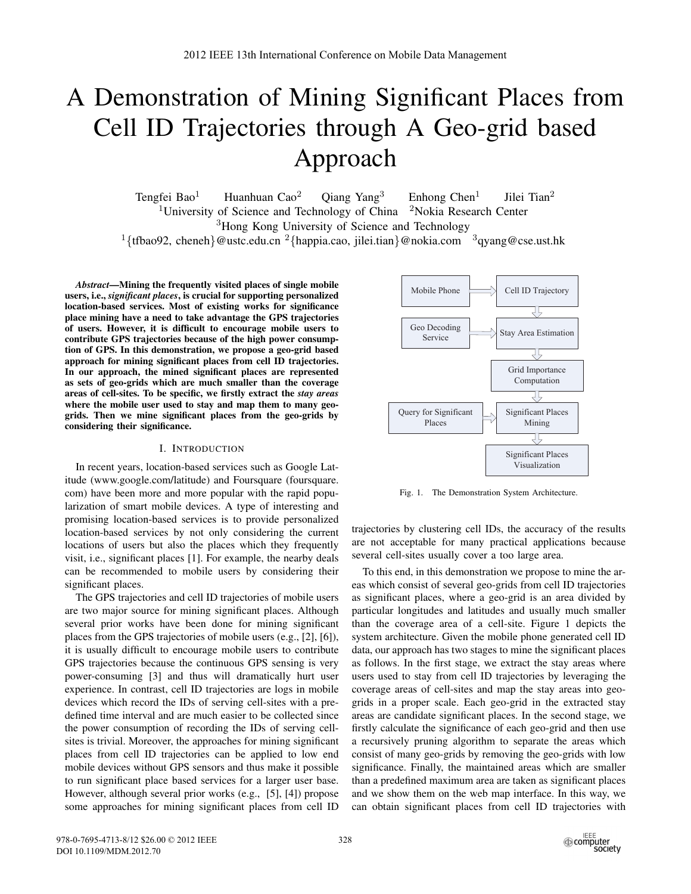# A Demonstration of Mining Significant Places from Cell ID Trajectories through A Geo-grid based Approach

Tengfei Bao<sup>1</sup> Huanhuan Cao<sup>2</sup> Qiang Yang<sup>3</sup> Enhong Chen<sup>1</sup> Jilei Tian<sup>2</sup> <sup>1</sup>University of Science and Technology of China  $\frac{2N}{\text{O}}$ Nokia Research Center <sup>3</sup>Hong Kong University of Science and Technology <sup>1</sup>{tfbao92, cheneh}@ustc.edu.cn<sup>2</sup>{happia.cao, jilei.tian}@nokia.com <sup>3</sup>qyang@cse.ust.hk

*Abstract*—Mining the frequently visited places of single mobile users, i.e., *significant places*, is crucial for supporting personalized location-based services. Most of existing works for significance place mining have a need to take advantage the GPS trajectories of users. However, it is difficult to encourage mobile users to contribute GPS trajectories because of the high power consumption of GPS. In this demonstration, we propose a geo-grid based approach for mining significant places from cell ID trajectories. In our approach, the mined significant places are represented as sets of geo-grids which are much smaller than the coverage areas of cell-sites. To be specific, we firstly extract the *stay areas* where the mobile user used to stay and map them to many geogrids. Then we mine significant places from the geo-grids by considering their significance.

## I. INTRODUCTION

In recent years, location-based services such as Google Latitude (www.google.com/latitude) and Foursquare (foursquare. com) have been more and more popular with the rapid popularization of smart mobile devices. A type of interesting and promising location-based services is to provide personalized location-based services by not only considering the current locations of users but also the places which they frequently visit, i.e., significant places [1]. For example, the nearby deals can be recommended to mobile users by considering their significant places.

The GPS trajectories and cell ID trajectories of mobile users are two major source for mining significant places. Although several prior works have been done for mining significant places from the GPS trajectories of mobile users (e.g., [2], [6]), it is usually difficult to encourage mobile users to contribute GPS trajectories because the continuous GPS sensing is very power-consuming [3] and thus will dramatically hurt user experience. In contrast, cell ID trajectories are logs in mobile devices which record the IDs of serving cell-sites with a predefined time interval and are much easier to be collected since the power consumption of recording the IDs of serving cellsites is trivial. Moreover, the approaches for mining significant places from cell ID trajectories can be applied to low end mobile devices without GPS sensors and thus make it possible to run significant place based services for a larger user base. However, although several prior works (e.g., [5], [4]) propose some approaches for mining significant places from cell ID



Fig. 1. The Demonstration System Architecture.

trajectories by clustering cell IDs, the accuracy of the results are not acceptable for many practical applications because several cell-sites usually cover a too large area.

To this end, in this demonstration we propose to mine the areas which consist of several geo-grids from cell ID trajectories as significant places, where a geo-grid is an area divided by particular longitudes and latitudes and usually much smaller than the coverage area of a cell-site. Figure 1 depicts the system architecture. Given the mobile phone generated cell ID data, our approach has two stages to mine the significant places as follows. In the first stage, we extract the stay areas where users used to stay from cell ID trajectories by leveraging the coverage areas of cell-sites and map the stay areas into geogrids in a proper scale. Each geo-grid in the extracted stay areas are candidate significant places. In the second stage, we firstly calculate the significance of each geo-grid and then use a recursively pruning algorithm to separate the areas which consist of many geo-grids by removing the geo-grids with low significance. Finally, the maintained areas which are smaller than a predefined maximum area are taken as significant places and we show them on the web map interface. In this way, we can obtain significant places from cell ID trajectories with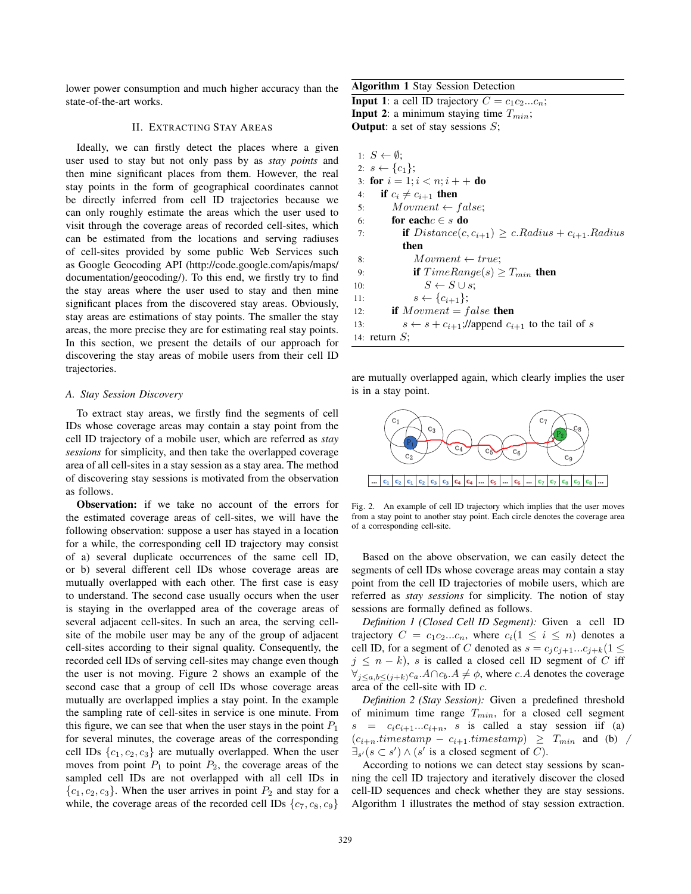lower power consumption and much higher accuracy than the state-of-the-art works.

### II. EXTRACTING STAY AREAS

Ideally, we can firstly detect the places where a given user used to stay but not only pass by as *stay points* and then mine significant places from them. However, the real stay points in the form of geographical coordinates cannot be directly inferred from cell ID trajectories because we can only roughly estimate the areas which the user used to visit through the coverage areas of recorded cell-sites, which can be estimated from the locations and serving radiuses of cell-sites provided by some public Web Services such as Google Geocoding API (http://code.google.com/apis/maps/ documentation/geocoding/). To this end, we firstly try to find the stay areas where the user used to stay and then mine significant places from the discovered stay areas. Obviously, stay areas are estimations of stay points. The smaller the stay areas, the more precise they are for estimating real stay points. In this section, we present the details of our approach for discovering the stay areas of mobile users from their cell ID trajectories.

#### *A. Stay Session Discovery*

To extract stay areas, we firstly find the segments of cell IDs whose coverage areas may contain a stay point from the cell ID trajectory of a mobile user, which are referred as *stay sessions* for simplicity, and then take the overlapped coverage area of all cell-sites in a stay session as a stay area. The method of discovering stay sessions is motivated from the observation as follows.

Observation: if we take no account of the errors for the estimated coverage areas of cell-sites, we will have the following observation: suppose a user has stayed in a location for a while, the corresponding cell ID trajectory may consist of a) several duplicate occurrences of the same cell ID, or b) several different cell IDs whose coverage areas are mutually overlapped with each other. The first case is easy to understand. The second case usually occurs when the user is staying in the overlapped area of the coverage areas of several adjacent cell-sites. In such an area, the serving cellsite of the mobile user may be any of the group of adjacent cell-sites according to their signal quality. Consequently, the recorded cell IDs of serving cell-sites may change even though the user is not moving. Figure 2 shows an example of the second case that a group of cell IDs whose coverage areas mutually are overlapped implies a stay point. In the example the sampling rate of cell-sites in service is one minute. From this figure, we can see that when the user stays in the point  $P_1$ for several minutes, the coverage areas of the corresponding cell IDs  $\{c_1, c_2, c_3\}$  are mutually overlapped. When the user moves from point  $P_1$  to point  $P_2$ , the coverage areas of the sampled cell IDs are not overlapped with all cell IDs in  ${c_1, c_2, c_3}$ . When the user arrives in point  $P_2$  and stay for a while, the coverage areas of the recorded cell IDs  $\{c_7, c_8, c_9\}$ 

# Algorithm 1 Stay Session Detection

**Input 1:** a cell ID trajectory  $C = c_1c_2...c_n$ ; **Input 2:** a minimum staying time  $T_{min}$ ; **Output:** a set of stay sessions  $S$ ;

| 1: $S \leftarrow \emptyset$ :                                              |
|----------------------------------------------------------------------------|
| 2: $s \leftarrow \{c_1\};$                                                 |
| 3: for $i = 1; i < n; i + +$ do                                            |
| if $c_i \neq c_{i+1}$ then<br>4:                                           |
| $Movment \leftarrow false;$<br>5:                                          |
| for each $c \in s$ do<br>6:                                                |
| <b>if</b> $Distance(c, c_{i+1}) \ge c$ . Radius + $c_{i+1}$ . Radius<br>7: |
| then                                                                       |
| $Movment \leftarrow true$ :<br>8:                                          |
| <b>if</b> $TimeRange(s) > T_{min}$ then<br>9:                              |
| $S \leftarrow S \cup s$ :<br>10:                                           |
| $s \leftarrow \{c_{i+1}\};$<br>11:                                         |
| if $Movment = false$ then<br>12:                                           |
| $s \leftarrow s + c_{i+1}$ ;//append $c_{i+1}$ to the tail of s<br>13:     |
| 14: return $S$ ;                                                           |

are mutually overlapped again, which clearly implies the user is in a stay point.



Fig. 2. An example of cell ID trajectory which implies that the user moves from a stay point to another stay point. Each circle denotes the coverage area of a corresponding cell-site.

Based on the above observation, we can easily detect the segments of cell IDs whose coverage areas may contain a stay point from the cell ID trajectories of mobile users, which are referred as *stay sessions* for simplicity. The notion of stay sessions are formally defined as follows.

*Definition 1 (Closed Cell ID Segment):* Given a cell ID trajectory  $C = c_1 c_2 ... c_n$ , where  $c_i (1 \leq i \leq n)$  denotes a cell ID, for a segment of C denoted as  $s = c_i c_{i+1}...c_{i+k}$  (1  $\leq$  $j \leq n - k$ , s is called a closed cell ID segment of C iff  $\forall_{j \leq a, b \leq (j+k)} c_a \cdot A \cap c_b \cdot A \neq \emptyset$ , where c.A denotes the coverage area of the cell-site with ID c.

*Definition 2 (Stay Session):* Given a predefined threshold of minimum time range  $T_{min}$ , for a closed cell segment  $s = c_i c_{i+1}...c_{i+n}$ , s is called a stay session iif (a)  $(c_{i+n}.times tamp - c_{i+1}.times tamp) \geq T_{min}$  and (b)  $\exists_{s'} (s \subset s') \land (s' \text{ is a closed segment of } C).$ 

According to notions we can detect stay sessions by scanning the cell ID trajectory and iteratively discover the closed cell-ID sequences and check whether they are stay sessions. Algorithm 1 illustrates the method of stay session extraction.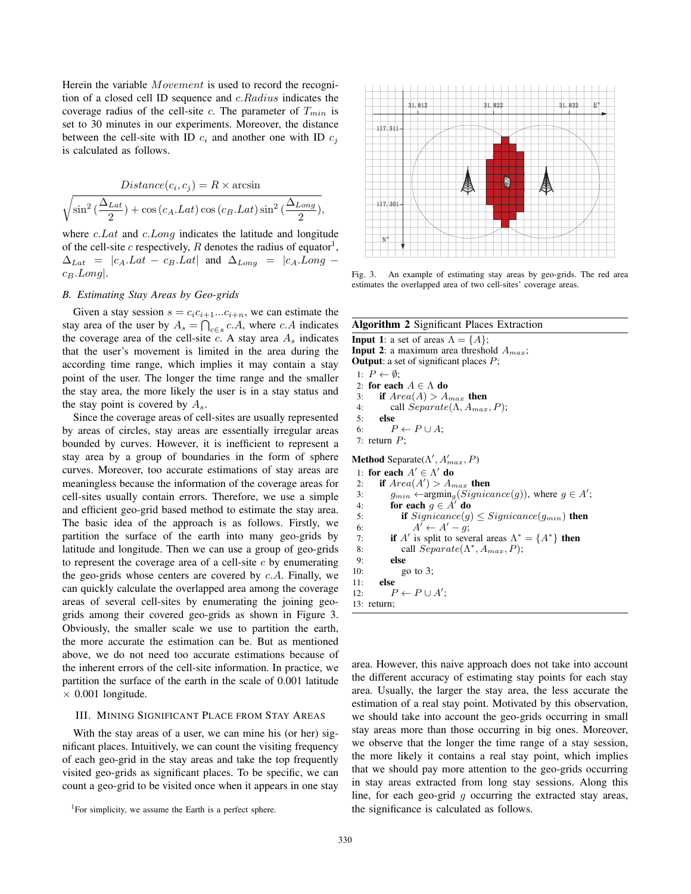Herein the variable *Movement* is used to record the recognition of a closed cell ID sequence and c.Radius indicates the coverage radius of the cell-site c. The parameter of  $T_{min}$  is set to 30 minutes in our experiments. Moreover, the distance between the cell-site with ID  $c_i$  and another one with ID  $c_i$ is calculated as follows.

$$
Distance(c_i, c_j) = R \times \arcsin
$$

$$
\sqrt{\sin^2\left(\frac{\Delta_{Lat}}{2}\right) + \cos\left(c_A.Lat\right)\cos\left(c_B.Lat\right)\sin^2\left(\frac{\Delta_{Long}}{2}\right)},
$$

where *c.Lat* and *c.Long* indicates the latitude and longitude of the cell-site c respectively, R denotes the radius of equator<sup>1</sup>,  $\Delta_{Lat}$  =  $|c_A.Lat - c_B.Lat|$  and  $\Delta_{Long}$  =  $|c_A.Long$  $c_B.Long$ .

# *B. Estimating Stay Areas by Geo-grids*

Given a stay session  $s = c_i c_{i+1} \dots c_{i+n}$ , we can estimate the stay area of the user by  $A_s = \bigcap_{c \in s} c.A$ , where c.A indicates the coverage area of the cell-site c. A stay area  $A_s$  indicates that the user's movement is limited in the area during the according time range, which implies it may contain a stay point of the user. The longer the time range and the smaller the stay area, the more likely the user is in a stay status and the stay point is covered by  $A_s$ .

Since the coverage areas of cell-sites are usually represented by areas of circles, stay areas are essentially irregular areas bounded by curves. However, it is inefficient to represent a stay area by a group of boundaries in the form of sphere curves. Moreover, too accurate estimations of stay areas are meaningless because the information of the coverage areas for cell-sites usually contain errors. Therefore, we use a simple and efficient geo-grid based method to estimate the stay area. The basic idea of the approach is as follows. Firstly, we partition the surface of the earth into many geo-grids by latitude and longitude. Then we can use a group of geo-grids to represent the coverage area of a cell-site  $c$  by enumerating the geo-grids whose centers are covered by  $c.A$ . Finally, we can quickly calculate the overlapped area among the coverage areas of several cell-sites by enumerating the joining geogrids among their covered geo-grids as shown in Figure 3. Obviously, the smaller scale we use to partition the earth, the more accurate the estimation can be. But as mentioned above, we do not need too accurate estimations because of the inherent errors of the cell-site information. In practice, we partition the surface of the earth in the scale of 0.001 latitude  $\times$  0.001 longitude.

### III. MINING SIGNIFICANT PLACE FROM STAY AREAS

With the stay areas of a user, we can mine his (or her) significant places. Intuitively, we can count the visiting frequency of each geo-grid in the stay areas and take the top frequently visited geo-grids as significant places. To be specific, we can count a geo-grid to be visited once when it appears in one stay



Fig. 3. An example of estimating stay areas by geo-grids. The red area estimates the overlapped area of two cell-sites' coverage areas.

#### Algorithm 2 Significant Places Extraction

**Input 1:** a set of areas  $\Lambda = \{A\}$ ; **Input 2:** a maximum area threshold  $A_{max}$ ; **Output:** a set of significant places  $P$ ; 1:  $P \leftarrow \emptyset$ ; 2: for each  $A \in \Lambda$  do 3: if  $Area(A) > A_{max}$  then<br>4: call  $Separate(\Lambda, A_{max})$ call  $Separate(\Lambda, A_{max}, P);$ 

5: else 6:  $P \leftarrow P \cup A$ ;

7: return  $P$ ;

**Method** Separate( $\Lambda'$ ,  $A'_{max}$ , P) 1: for each  $A' \in \Lambda'$  do 2: if  $Area(A') > A_{max}$  then 3:  $g_{min} \leftarrow \text{argmin}_g(Signicance(g))$ , where  $g \in A'$ ; 4: for each  $g \in A'$  do 5: **if**  $Signicance(g) \leq Signicance(g_{min})$  then 6:  $A' \leftarrow A' - g;$ 7: **if** A' is split to several areas  $\Lambda^* = \{A^*\}\$  then 8: call  $Separate(\Lambda^*, A_{max}, P)$ ; 9: else 10: go to 3;

11: else

12:  $P \leftarrow P \cup A';$ 13: return;

area. However, this naive approach does not take into account the different accuracy of estimating stay points for each stay area. Usually, the larger the stay area, the less accurate the estimation of a real stay point. Motivated by this observation, we should take into account the geo-grids occurring in small stay areas more than those occurring in big ones. Moreover, we observe that the longer the time range of a stay session, the more likely it contains a real stay point, which implies that we should pay more attention to the geo-grids occurring in stay areas extracted from long stay sessions. Along this line, for each geo-grid  $g$  occurring the extracted stay areas, the significance is calculated as follows.

<sup>&</sup>lt;sup>1</sup>For simplicity, we assume the Earth is a perfect sphere.